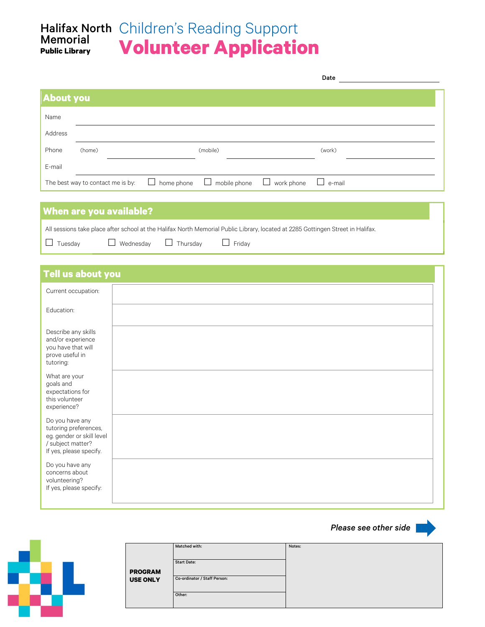### Halifax North Children's Reading Support **Volunteer Application** Memorial **Public Library**

|                  |                                   |                      |                        |                   | Date          |  |
|------------------|-----------------------------------|----------------------|------------------------|-------------------|---------------|--|
| <b>About you</b> |                                   |                      |                        |                   |               |  |
| Name             |                                   |                      |                        |                   |               |  |
| Address          |                                   |                      |                        |                   |               |  |
| Phone            | (home)                            |                      | (mobile)               |                   | (work)        |  |
| E-mail           |                                   |                      |                        |                   |               |  |
|                  | The best way to contact me is by: | home phone<br>$\Box$ | mobile phone<br>$\Box$ | $\Box$ work phone | $\Box$ e-mail |  |

# **When are you available?**

All sessions take place after school at the Halifax North Memorial Public Library, located at 2285 Gottingen Street in Halifax.  $\Box$  Tuesday  $\Box$  Wednesday  $\Box$  Thursday  $\Box$  Friday

## **Tell us about you**

| Current occupation:                                                                                                   |  |
|-----------------------------------------------------------------------------------------------------------------------|--|
| Education:                                                                                                            |  |
| Describe any skills<br>and/or experience<br>you have that will<br>prove useful in<br>tutoring:                        |  |
| What are your<br>goals and<br>expectations for<br>this volunteer<br>experience?                                       |  |
| Do you have any<br>tutoring preferences,<br>eg. gender or skill level<br>/ subject matter?<br>If yes, please specify. |  |
| Do you have any<br>concerns about<br>volunteering?<br>If yes, please specify:                                         |  |

*Please see other side* 



|                 | Matched with:                | Notes: |
|-----------------|------------------------------|--------|
|                 |                              |        |
|                 |                              |        |
|                 | <b>Start Date:</b>           |        |
| <b>PROGRAM</b>  |                              |        |
| <b>USE ONLY</b> | Co-ordinator / Staff Person: |        |
|                 |                              |        |
|                 | Other:                       |        |
|                 |                              |        |
|                 |                              |        |